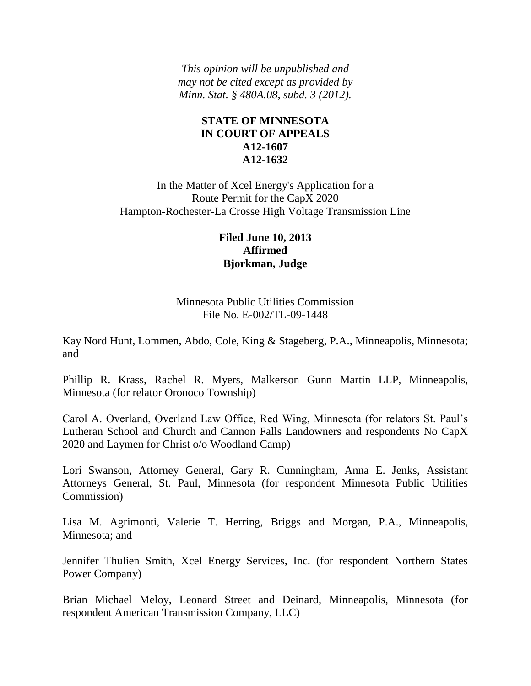*This opinion will be unpublished and may not be cited except as provided by Minn. Stat. § 480A.08, subd. 3 (2012).*

## **STATE OF MINNESOTA IN COURT OF APPEALS A12-1607 A12-1632**

In the Matter of Xcel Energy's Application for a Route Permit for the CapX 2020 Hampton-Rochester-La Crosse High Voltage Transmission Line

# **Filed June 10, 2013 Affirmed Bjorkman, Judge**

Minnesota Public Utilities Commission File No. E-002/TL-09-1448

Kay Nord Hunt, Lommen, Abdo, Cole, King & Stageberg, P.A., Minneapolis, Minnesota; and

Phillip R. Krass, Rachel R. Myers, Malkerson Gunn Martin LLP, Minneapolis, Minnesota (for relator Oronoco Township)

Carol A. Overland, Overland Law Office, Red Wing, Minnesota (for relators St. Paul's Lutheran School and Church and Cannon Falls Landowners and respondents No CapX 2020 and Laymen for Christ o/o Woodland Camp)

Lori Swanson, Attorney General, Gary R. Cunningham, Anna E. Jenks, Assistant Attorneys General, St. Paul, Minnesota (for respondent Minnesota Public Utilities Commission)

Lisa M. Agrimonti, Valerie T. Herring, Briggs and Morgan, P.A., Minneapolis, Minnesota; and

Jennifer Thulien Smith, Xcel Energy Services, Inc. (for respondent Northern States Power Company)

Brian Michael Meloy, Leonard Street and Deinard, Minneapolis, Minnesota (for respondent American Transmission Company, LLC)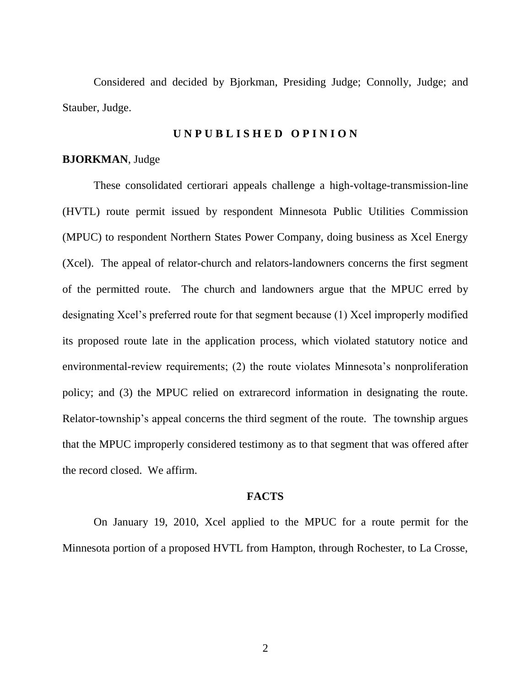Considered and decided by Bjorkman, Presiding Judge; Connolly, Judge; and Stauber, Judge.

#### **U N P U B L I S H E D O P I N I O N**

#### **BJORKMAN**, Judge

These consolidated certiorari appeals challenge a high-voltage-transmission-line (HVTL) route permit issued by respondent Minnesota Public Utilities Commission (MPUC) to respondent Northern States Power Company, doing business as Xcel Energy (Xcel). The appeal of relator-church and relators-landowners concerns the first segment of the permitted route. The church and landowners argue that the MPUC erred by designating Xcel's preferred route for that segment because (1) Xcel improperly modified its proposed route late in the application process, which violated statutory notice and environmental-review requirements; (2) the route violates Minnesota's nonproliferation policy; and (3) the MPUC relied on extrarecord information in designating the route. Relator-township's appeal concerns the third segment of the route. The township argues that the MPUC improperly considered testimony as to that segment that was offered after the record closed. We affirm.

#### **FACTS**

On January 19, 2010, Xcel applied to the MPUC for a route permit for the Minnesota portion of a proposed HVTL from Hampton, through Rochester, to La Crosse,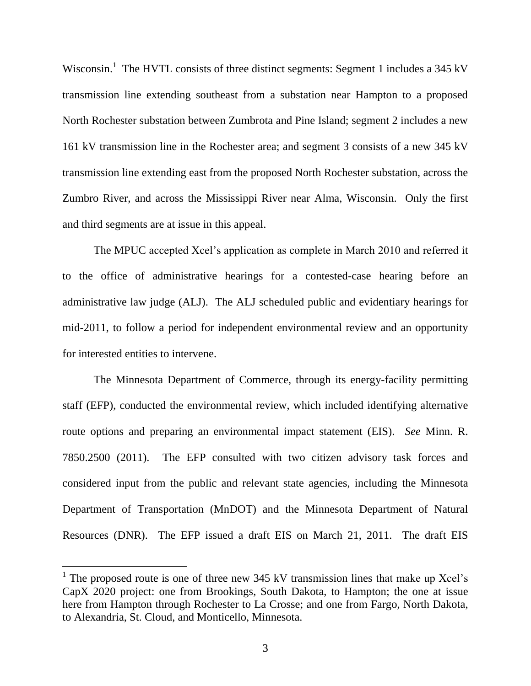Wisconsin.<sup>1</sup> The HVTL consists of three distinct segments: Segment 1 includes a 345 kV transmission line extending southeast from a substation near Hampton to a proposed North Rochester substation between Zumbrota and Pine Island; segment 2 includes a new 161 kV transmission line in the Rochester area; and segment 3 consists of a new 345 kV transmission line extending east from the proposed North Rochester substation, across the Zumbro River, and across the Mississippi River near Alma, Wisconsin. Only the first and third segments are at issue in this appeal.

The MPUC accepted Xcel's application as complete in March 2010 and referred it to the office of administrative hearings for a contested-case hearing before an administrative law judge (ALJ). The ALJ scheduled public and evidentiary hearings for mid-2011, to follow a period for independent environmental review and an opportunity for interested entities to intervene.

The Minnesota Department of Commerce, through its energy-facility permitting staff (EFP), conducted the environmental review, which included identifying alternative route options and preparing an environmental impact statement (EIS). *See* Minn. R. 7850.2500 (2011). The EFP consulted with two citizen advisory task forces and considered input from the public and relevant state agencies, including the Minnesota Department of Transportation (MnDOT) and the Minnesota Department of Natural Resources (DNR). The EFP issued a draft EIS on March 21, 2011. The draft EIS

<sup>&</sup>lt;sup>1</sup> The proposed route is one of three new 345 kV transmission lines that make up Xcel's CapX 2020 project: one from Brookings, South Dakota, to Hampton; the one at issue here from Hampton through Rochester to La Crosse; and one from Fargo, North Dakota, to Alexandria, St. Cloud, and Monticello, Minnesota.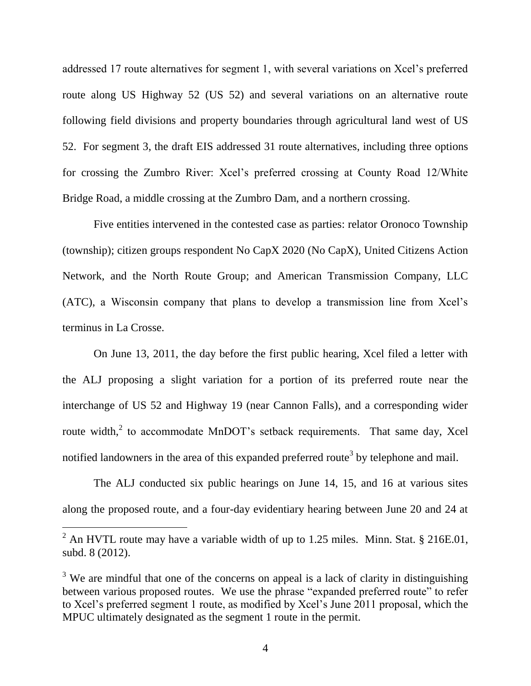addressed 17 route alternatives for segment 1, with several variations on Xcel's preferred route along US Highway 52 (US 52) and several variations on an alternative route following field divisions and property boundaries through agricultural land west of US 52. For segment 3, the draft EIS addressed 31 route alternatives, including three options for crossing the Zumbro River: Xcel's preferred crossing at County Road 12/White Bridge Road, a middle crossing at the Zumbro Dam, and a northern crossing.

Five entities intervened in the contested case as parties: relator Oronoco Township (township); citizen groups respondent No CapX 2020 (No CapX), United Citizens Action Network, and the North Route Group; and American Transmission Company, LLC (ATC), a Wisconsin company that plans to develop a transmission line from Xcel's terminus in La Crosse.

On June 13, 2011, the day before the first public hearing, Xcel filed a letter with the ALJ proposing a slight variation for a portion of its preferred route near the interchange of US 52 and Highway 19 (near Cannon Falls), and a corresponding wider route width,<sup>2</sup> to accommodate MnDOT's setback requirements. That same day, Xcel notified landowners in the area of this expanded preferred route<sup>3</sup> by telephone and mail.

The ALJ conducted six public hearings on June 14, 15, and 16 at various sites along the proposed route, and a four-day evidentiary hearing between June 20 and 24 at

 $^{2}$  An HVTL route may have a variable width of up to 1.25 miles. Minn. Stat. § 216E.01, subd. 8 (2012).

 $3$  We are mindful that one of the concerns on appeal is a lack of clarity in distinguishing between various proposed routes. We use the phrase "expanded preferred route" to refer to Xcel's preferred segment 1 route, as modified by Xcel's June 2011 proposal, which the MPUC ultimately designated as the segment 1 route in the permit.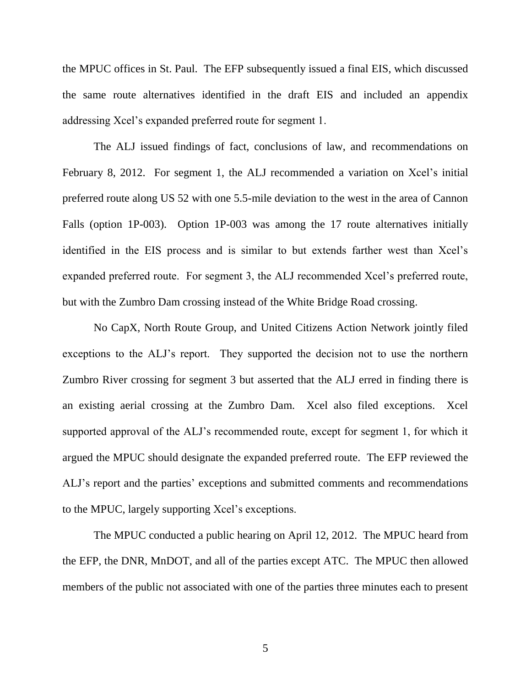the MPUC offices in St. Paul. The EFP subsequently issued a final EIS, which discussed the same route alternatives identified in the draft EIS and included an appendix addressing Xcel's expanded preferred route for segment 1.

The ALJ issued findings of fact, conclusions of law, and recommendations on February 8, 2012. For segment 1, the ALJ recommended a variation on Xcel's initial preferred route along US 52 with one 5.5-mile deviation to the west in the area of Cannon Falls (option 1P-003). Option 1P-003 was among the 17 route alternatives initially identified in the EIS process and is similar to but extends farther west than Xcel's expanded preferred route. For segment 3, the ALJ recommended Xcel's preferred route, but with the Zumbro Dam crossing instead of the White Bridge Road crossing.

No CapX, North Route Group, and United Citizens Action Network jointly filed exceptions to the ALJ's report. They supported the decision not to use the northern Zumbro River crossing for segment 3 but asserted that the ALJ erred in finding there is an existing aerial crossing at the Zumbro Dam. Xcel also filed exceptions. Xcel supported approval of the ALJ's recommended route, except for segment 1, for which it argued the MPUC should designate the expanded preferred route. The EFP reviewed the ALJ's report and the parties' exceptions and submitted comments and recommendations to the MPUC, largely supporting Xcel's exceptions.

The MPUC conducted a public hearing on April 12, 2012. The MPUC heard from the EFP, the DNR, MnDOT, and all of the parties except ATC. The MPUC then allowed members of the public not associated with one of the parties three minutes each to present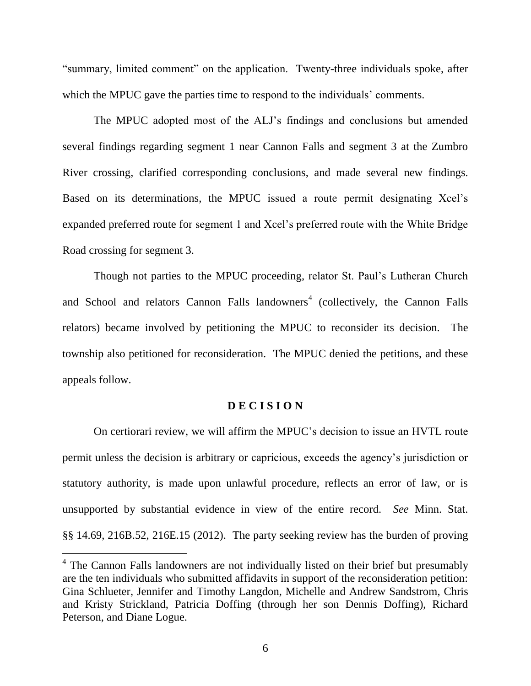"summary, limited comment" on the application. Twenty-three individuals spoke, after which the MPUC gave the parties time to respond to the individuals' comments.

The MPUC adopted most of the ALJ's findings and conclusions but amended several findings regarding segment 1 near Cannon Falls and segment 3 at the Zumbro River crossing, clarified corresponding conclusions, and made several new findings. Based on its determinations, the MPUC issued a route permit designating Xcel's expanded preferred route for segment 1 and Xcel's preferred route with the White Bridge Road crossing for segment 3.

Though not parties to the MPUC proceeding, relator St. Paul's Lutheran Church and School and relators Cannon Falls landowners<sup>4</sup> (collectively, the Cannon Falls relators) became involved by petitioning the MPUC to reconsider its decision. The township also petitioned for reconsideration. The MPUC denied the petitions, and these appeals follow.

#### **D E C I S I O N**

On certiorari review, we will affirm the MPUC's decision to issue an HVTL route permit unless the decision is arbitrary or capricious, exceeds the agency's jurisdiction or statutory authority, is made upon unlawful procedure, reflects an error of law, or is unsupported by substantial evidence in view of the entire record. *See* Minn. Stat. §§ 14.69, 216B.52, 216E.15 (2012). The party seeking review has the burden of proving

<sup>&</sup>lt;sup>4</sup> The Cannon Falls landowners are not individually listed on their brief but presumably are the ten individuals who submitted affidavits in support of the reconsideration petition: Gina Schlueter, Jennifer and Timothy Langdon, Michelle and Andrew Sandstrom, Chris and Kristy Strickland, Patricia Doffing (through her son Dennis Doffing), Richard Peterson, and Diane Logue.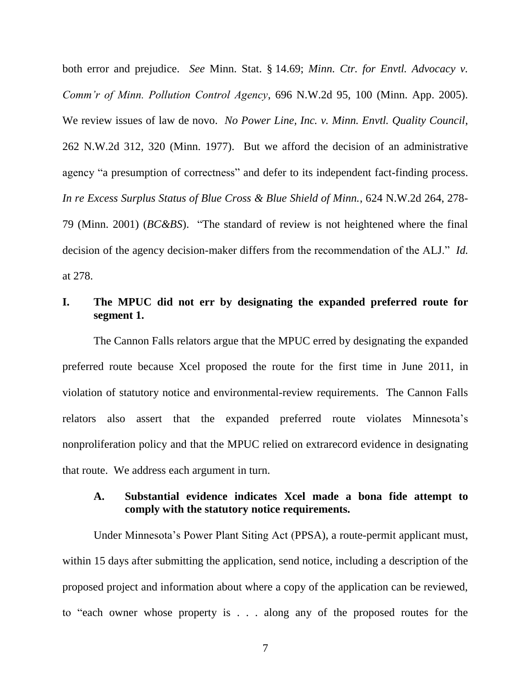both error and prejudice. *See* Minn. Stat. § 14.69; *Minn. Ctr. for Envtl. Advocacy v. Comm'r of Minn. Pollution Control Agency*, 696 N.W.2d 95, 100 (Minn. App. 2005). We review issues of law de novo. *No Power Line, Inc. v. Minn. Envtl. Quality Council*, 262 N.W.2d 312, 320 (Minn. 1977). But we afford the decision of an administrative agency "a presumption of correctness" and defer to its independent fact-finding process. *In re Excess Surplus Status of Blue Cross & Blue Shield of Minn.*, 624 N.W.2d 264, 278- 79 (Minn. 2001) (*BC&BS*). "The standard of review is not heightened where the final decision of the agency decision-maker differs from the recommendation of the ALJ." *Id.* at 278.

# **I. The MPUC did not err by designating the expanded preferred route for segment 1.**

The Cannon Falls relators argue that the MPUC erred by designating the expanded preferred route because Xcel proposed the route for the first time in June 2011, in violation of statutory notice and environmental-review requirements. The Cannon Falls relators also assert that the expanded preferred route violates Minnesota's nonproliferation policy and that the MPUC relied on extrarecord evidence in designating that route. We address each argument in turn.

### **A. Substantial evidence indicates Xcel made a bona fide attempt to comply with the statutory notice requirements.**

Under Minnesota's Power Plant Siting Act (PPSA), a route-permit applicant must, within 15 days after submitting the application, send notice, including a description of the proposed project and information about where a copy of the application can be reviewed, to "each owner whose property is . . . along any of the proposed routes for the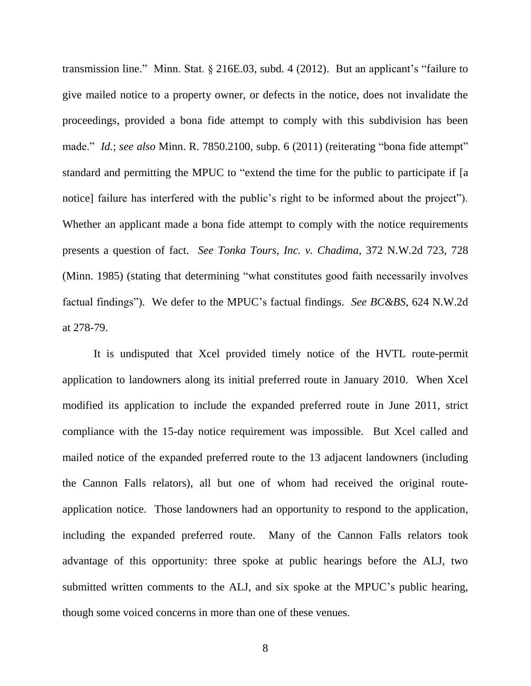transmission line." Minn. Stat. § 216E.03, subd. 4 (2012). But an applicant's "failure to give mailed notice to a property owner, or defects in the notice, does not invalidate the proceedings, provided a bona fide attempt to comply with this subdivision has been made." *Id.*; *see also* Minn. R. 7850.2100, subp. 6 (2011) (reiterating "bona fide attempt" standard and permitting the MPUC to "extend the time for the public to participate if [a notice] failure has interfered with the public's right to be informed about the project"). Whether an applicant made a bona fide attempt to comply with the notice requirements presents a question of fact. *See Tonka Tours, Inc. v. Chadima*, 372 N.W.2d 723, 728 (Minn. 1985) (stating that determining "what constitutes good faith necessarily involves factual findings"). We defer to the MPUC's factual findings. *See BC&BS*, 624 N.W.2d at 278-79.

It is undisputed that Xcel provided timely notice of the HVTL route-permit application to landowners along its initial preferred route in January 2010. When Xcel modified its application to include the expanded preferred route in June 2011, strict compliance with the 15-day notice requirement was impossible. But Xcel called and mailed notice of the expanded preferred route to the 13 adjacent landowners (including the Cannon Falls relators), all but one of whom had received the original routeapplication notice. Those landowners had an opportunity to respond to the application, including the expanded preferred route. Many of the Cannon Falls relators took advantage of this opportunity: three spoke at public hearings before the ALJ, two submitted written comments to the ALJ, and six spoke at the MPUC's public hearing, though some voiced concerns in more than one of these venues.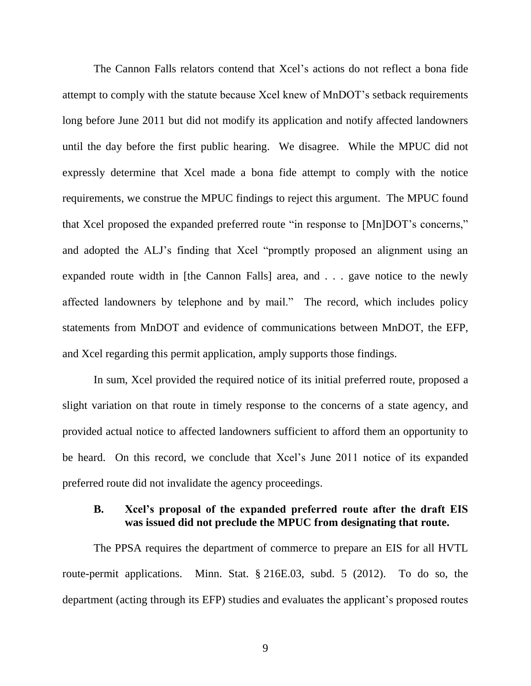The Cannon Falls relators contend that Xcel's actions do not reflect a bona fide attempt to comply with the statute because Xcel knew of MnDOT's setback requirements long before June 2011 but did not modify its application and notify affected landowners until the day before the first public hearing. We disagree. While the MPUC did not expressly determine that Xcel made a bona fide attempt to comply with the notice requirements, we construe the MPUC findings to reject this argument. The MPUC found that Xcel proposed the expanded preferred route "in response to [Mn]DOT's concerns," and adopted the ALJ's finding that Xcel "promptly proposed an alignment using an expanded route width in [the Cannon Falls] area, and . . . gave notice to the newly affected landowners by telephone and by mail." The record, which includes policy statements from MnDOT and evidence of communications between MnDOT, the EFP, and Xcel regarding this permit application, amply supports those findings.

In sum, Xcel provided the required notice of its initial preferred route, proposed a slight variation on that route in timely response to the concerns of a state agency, and provided actual notice to affected landowners sufficient to afford them an opportunity to be heard. On this record, we conclude that Xcel's June 2011 notice of its expanded preferred route did not invalidate the agency proceedings.

### **B. Xcel's proposal of the expanded preferred route after the draft EIS was issued did not preclude the MPUC from designating that route.**

The PPSA requires the department of commerce to prepare an EIS for all HVTL route-permit applications. Minn. Stat. § 216E.03, subd. 5 (2012). To do so, the department (acting through its EFP) studies and evaluates the applicant's proposed routes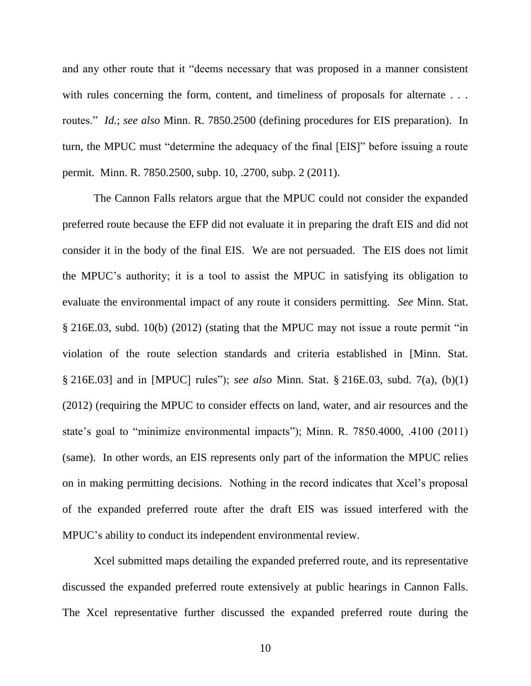and any other route that it "deems necessary that was proposed in a manner consistent with rules concerning the form, content, and timeliness of proposals for alternate . . . routes." *Id.*; *see also* Minn. R. 7850.2500 (defining procedures for EIS preparation). In turn, the MPUC must "determine the adequacy of the final [EIS]" before issuing a route permit. Minn. R. 7850.2500, subp. 10, .2700, subp. 2 (2011).

The Cannon Falls relators argue that the MPUC could not consider the expanded preferred route because the EFP did not evaluate it in preparing the draft EIS and did not consider it in the body of the final EIS. We are not persuaded. The EIS does not limit the MPUC's authority; it is a tool to assist the MPUC in satisfying its obligation to evaluate the environmental impact of any route it considers permitting. *See* Minn. Stat. § 216E.03, subd. 10(b) (2012) (stating that the MPUC may not issue a route permit "in violation of the route selection standards and criteria established in [Minn. Stat. § 216E.03] and in [MPUC] rules"); *see also* Minn. Stat. § 216E.03, subd. 7(a), (b)(1) (2012) (requiring the MPUC to consider effects on land, water, and air resources and the state's goal to "minimize environmental impacts"); Minn. R. 7850.4000, .4100 (2011) (same). In other words, an EIS represents only part of the information the MPUC relies on in making permitting decisions. Nothing in the record indicates that Xcel's proposal of the expanded preferred route after the draft EIS was issued interfered with the MPUC's ability to conduct its independent environmental review.

Xcel submitted maps detailing the expanded preferred route, and its representative discussed the expanded preferred route extensively at public hearings in Cannon Falls. The Xcel representative further discussed the expanded preferred route during the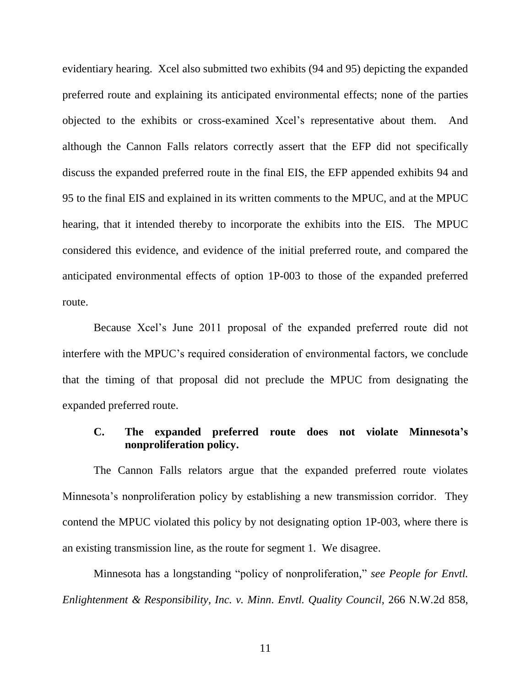evidentiary hearing. Xcel also submitted two exhibits (94 and 95) depicting the expanded preferred route and explaining its anticipated environmental effects; none of the parties objected to the exhibits or cross-examined Xcel's representative about them. And although the Cannon Falls relators correctly assert that the EFP did not specifically discuss the expanded preferred route in the final EIS, the EFP appended exhibits 94 and 95 to the final EIS and explained in its written comments to the MPUC, and at the MPUC hearing, that it intended thereby to incorporate the exhibits into the EIS. The MPUC considered this evidence, and evidence of the initial preferred route, and compared the anticipated environmental effects of option 1P-003 to those of the expanded preferred route.

Because Xcel's June 2011 proposal of the expanded preferred route did not interfere with the MPUC's required consideration of environmental factors, we conclude that the timing of that proposal did not preclude the MPUC from designating the expanded preferred route.

### **C. The expanded preferred route does not violate Minnesota's nonproliferation policy.**

The Cannon Falls relators argue that the expanded preferred route violates Minnesota's nonproliferation policy by establishing a new transmission corridor. They contend the MPUC violated this policy by not designating option 1P-003, where there is an existing transmission line, as the route for segment 1. We disagree.

Minnesota has a longstanding "policy of nonproliferation," *see People for Envtl. Enlightenment & Responsibility, Inc. v. Minn. Envtl. Quality Council*, 266 N.W.2d 858,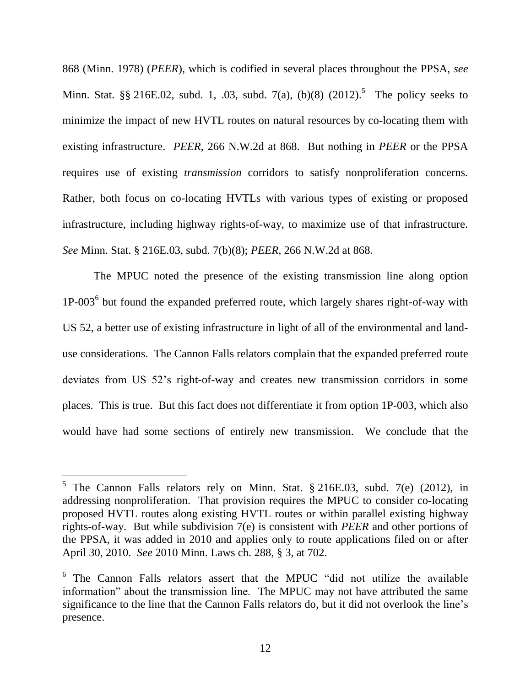868 (Minn. 1978) (*PEER*), which is codified in several places throughout the PPSA, *see*  Minn. Stat. §§ 216E.02, subd. 1, .03, subd. 7(a), (b)(8)  $(2012)$ .<sup>5</sup> The policy seeks to minimize the impact of new HVTL routes on natural resources by co-locating them with existing infrastructure. *PEER*, 266 N.W.2d at 868. But nothing in *PEER* or the PPSA requires use of existing *transmission* corridors to satisfy nonproliferation concerns. Rather, both focus on co-locating HVTLs with various types of existing or proposed infrastructure, including highway rights-of-way, to maximize use of that infrastructure. *See* Minn. Stat. § 216E.03, subd. 7(b)(8); *PEER*, 266 N.W.2d at 868.

The MPUC noted the presence of the existing transmission line along option 1P-003<sup>6</sup> but found the expanded preferred route, which largely shares right-of-way with US 52, a better use of existing infrastructure in light of all of the environmental and landuse considerations. The Cannon Falls relators complain that the expanded preferred route deviates from US 52's right-of-way and creates new transmission corridors in some places. This is true. But this fact does not differentiate it from option 1P-003, which also would have had some sections of entirely new transmission. We conclude that the

 $\overline{a}$ 

<sup>&</sup>lt;sup>5</sup> The Cannon Falls relators rely on Minn. Stat.  $§ 216E.03$ , subd. 7(e) (2012), in addressing nonproliferation. That provision requires the MPUC to consider co-locating proposed HVTL routes along existing HVTL routes or within parallel existing highway rights-of-way. But while subdivision 7(e) is consistent with *PEER* and other portions of the PPSA, it was added in 2010 and applies only to route applications filed on or after April 30, 2010. *See* 2010 Minn. Laws ch. 288, § 3, at 702.

<sup>&</sup>lt;sup>6</sup> The Cannon Falls relators assert that the MPUC "did not utilize the available information" about the transmission line. The MPUC may not have attributed the same significance to the line that the Cannon Falls relators do, but it did not overlook the line's presence.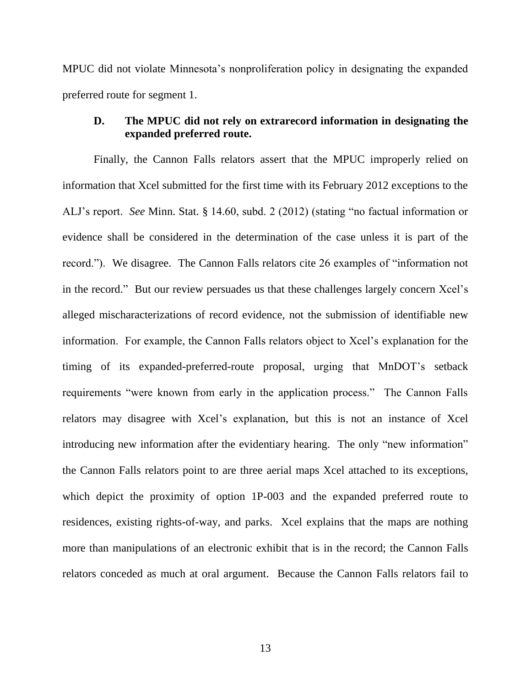MPUC did not violate Minnesota's nonproliferation policy in designating the expanded preferred route for segment 1.

#### **D. The MPUC did not rely on extrarecord information in designating the expanded preferred route.**

Finally, the Cannon Falls relators assert that the MPUC improperly relied on information that Xcel submitted for the first time with its February 2012 exceptions to the ALJ's report. *See* Minn. Stat. § 14.60, subd. 2 (2012) (stating "no factual information or evidence shall be considered in the determination of the case unless it is part of the record."). We disagree. The Cannon Falls relators cite 26 examples of "information not in the record." But our review persuades us that these challenges largely concern Xcel's alleged mischaracterizations of record evidence, not the submission of identifiable new information. For example, the Cannon Falls relators object to Xcel's explanation for the timing of its expanded-preferred-route proposal, urging that MnDOT's setback requirements "were known from early in the application process." The Cannon Falls relators may disagree with Xcel's explanation, but this is not an instance of Xcel introducing new information after the evidentiary hearing. The only "new information" the Cannon Falls relators point to are three aerial maps Xcel attached to its exceptions, which depict the proximity of option 1P-003 and the expanded preferred route to residences, existing rights-of-way, and parks. Xcel explains that the maps are nothing more than manipulations of an electronic exhibit that is in the record; the Cannon Falls relators conceded as much at oral argument. Because the Cannon Falls relators fail to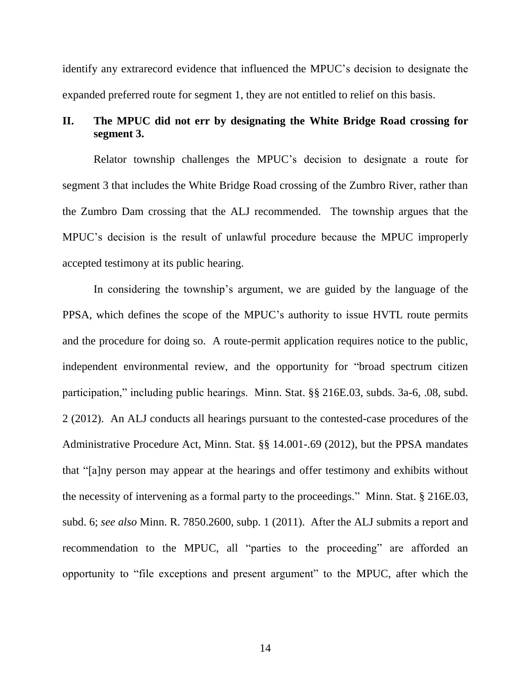identify any extrarecord evidence that influenced the MPUC's decision to designate the expanded preferred route for segment 1, they are not entitled to relief on this basis.

## **II. The MPUC did not err by designating the White Bridge Road crossing for segment 3.**

Relator township challenges the MPUC's decision to designate a route for segment 3 that includes the White Bridge Road crossing of the Zumbro River, rather than the Zumbro Dam crossing that the ALJ recommended. The township argues that the MPUC's decision is the result of unlawful procedure because the MPUC improperly accepted testimony at its public hearing.

In considering the township's argument, we are guided by the language of the PPSA, which defines the scope of the MPUC's authority to issue HVTL route permits and the procedure for doing so. A route-permit application requires notice to the public, independent environmental review, and the opportunity for "broad spectrum citizen participation," including public hearings. Minn. Stat. §§ 216E.03, subds. 3a-6, .08, subd. 2 (2012). An ALJ conducts all hearings pursuant to the contested-case procedures of the Administrative Procedure Act, Minn. Stat. §§ 14.001-.69 (2012), but the PPSA mandates that "[a]ny person may appear at the hearings and offer testimony and exhibits without the necessity of intervening as a formal party to the proceedings." Minn. Stat. § 216E.03, subd. 6; *see also* Minn. R. 7850.2600, subp. 1 (2011). After the ALJ submits a report and recommendation to the MPUC, all "parties to the proceeding" are afforded an opportunity to "file exceptions and present argument" to the MPUC, after which the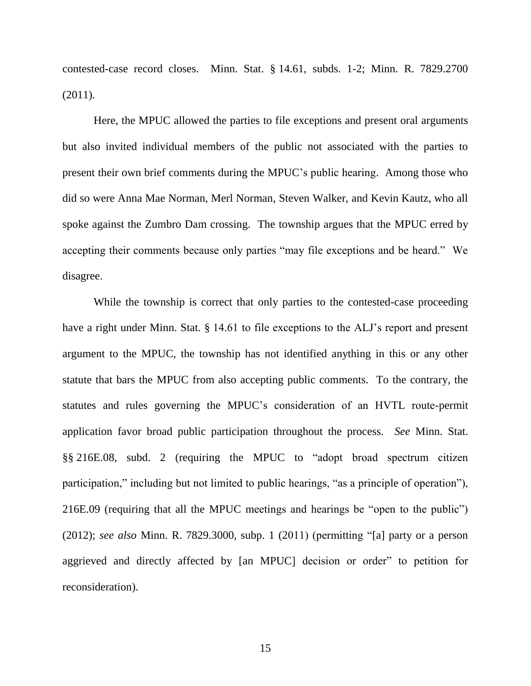contested-case record closes. Minn. Stat. § 14.61, subds. 1-2; Minn. R. 7829.2700 (2011).

Here, the MPUC allowed the parties to file exceptions and present oral arguments but also invited individual members of the public not associated with the parties to present their own brief comments during the MPUC's public hearing. Among those who did so were Anna Mae Norman, Merl Norman, Steven Walker, and Kevin Kautz, who all spoke against the Zumbro Dam crossing. The township argues that the MPUC erred by accepting their comments because only parties "may file exceptions and be heard." We disagree.

While the township is correct that only parties to the contested-case proceeding have a right under Minn. Stat. § 14.61 to file exceptions to the ALJ's report and present argument to the MPUC, the township has not identified anything in this or any other statute that bars the MPUC from also accepting public comments. To the contrary, the statutes and rules governing the MPUC's consideration of an HVTL route-permit application favor broad public participation throughout the process. *See* Minn. Stat. §§ 216E.08, subd. 2 (requiring the MPUC to "adopt broad spectrum citizen participation," including but not limited to public hearings, "as a principle of operation"), 216E.09 (requiring that all the MPUC meetings and hearings be "open to the public") (2012); *see also* Minn. R. 7829.3000, subp. 1 (2011) (permitting "[a] party or a person aggrieved and directly affected by [an MPUC] decision or order" to petition for reconsideration).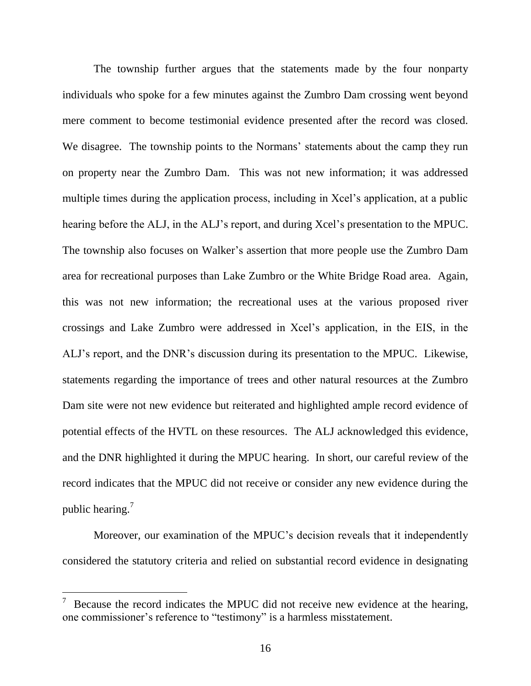The township further argues that the statements made by the four nonparty individuals who spoke for a few minutes against the Zumbro Dam crossing went beyond mere comment to become testimonial evidence presented after the record was closed. We disagree. The township points to the Normans' statements about the camp they run on property near the Zumbro Dam. This was not new information; it was addressed multiple times during the application process, including in Xcel's application, at a public hearing before the ALJ, in the ALJ's report, and during Xcel's presentation to the MPUC. The township also focuses on Walker's assertion that more people use the Zumbro Dam area for recreational purposes than Lake Zumbro or the White Bridge Road area. Again, this was not new information; the recreational uses at the various proposed river crossings and Lake Zumbro were addressed in Xcel's application, in the EIS, in the ALJ's report, and the DNR's discussion during its presentation to the MPUC. Likewise, statements regarding the importance of trees and other natural resources at the Zumbro Dam site were not new evidence but reiterated and highlighted ample record evidence of potential effects of the HVTL on these resources. The ALJ acknowledged this evidence, and the DNR highlighted it during the MPUC hearing. In short, our careful review of the record indicates that the MPUC did not receive or consider any new evidence during the public hearing.<sup>7</sup>

Moreover, our examination of the MPUC's decision reveals that it independently considered the statutory criteria and relied on substantial record evidence in designating

 $\overline{a}$ 

<sup>7</sup> Because the record indicates the MPUC did not receive new evidence at the hearing, one commissioner's reference to "testimony" is a harmless misstatement.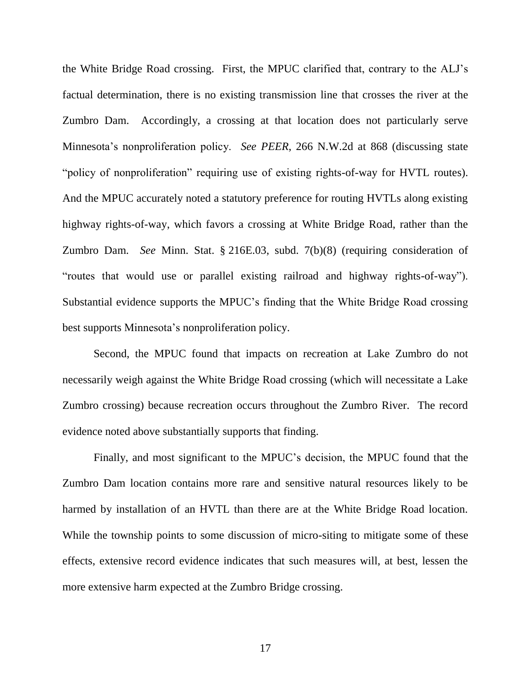the White Bridge Road crossing. First, the MPUC clarified that, contrary to the ALJ's factual determination, there is no existing transmission line that crosses the river at the Zumbro Dam. Accordingly, a crossing at that location does not particularly serve Minnesota's nonproliferation policy. *See PEER*, 266 N.W.2d at 868 (discussing state "policy of nonproliferation" requiring use of existing rights-of-way for HVTL routes). And the MPUC accurately noted a statutory preference for routing HVTLs along existing highway rights-of-way, which favors a crossing at White Bridge Road, rather than the Zumbro Dam. *See* Minn. Stat. § 216E.03, subd. 7(b)(8) (requiring consideration of "routes that would use or parallel existing railroad and highway rights-of-way"). Substantial evidence supports the MPUC's finding that the White Bridge Road crossing best supports Minnesota's nonproliferation policy.

Second, the MPUC found that impacts on recreation at Lake Zumbro do not necessarily weigh against the White Bridge Road crossing (which will necessitate a Lake Zumbro crossing) because recreation occurs throughout the Zumbro River. The record evidence noted above substantially supports that finding.

Finally, and most significant to the MPUC's decision, the MPUC found that the Zumbro Dam location contains more rare and sensitive natural resources likely to be harmed by installation of an HVTL than there are at the White Bridge Road location. While the township points to some discussion of micro-siting to mitigate some of these effects, extensive record evidence indicates that such measures will, at best, lessen the more extensive harm expected at the Zumbro Bridge crossing.